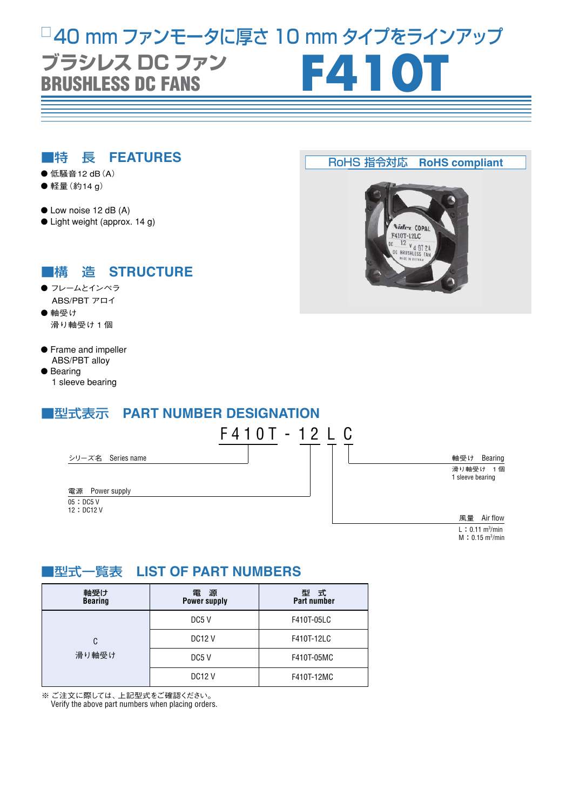# **BRUSHLESS DC FANS** □ 40 mm ファンモータに厚さ 10 mm タイプをラインアップ **ブラシレス DC ファン<br>REIICHLEGE DC EANG**

#### ■特 長 **FEATURES**

- 低騒音12 dB (A)
- 軽量 (約14 g)
- Low noise 12 dB (A)
- Light weight (approx. 14 g)

## ■構 造 **STRUCTURE**

- フレームとインペラ ABS/PBT アロイ
- 軸受け 滑り軸受け 1 個
- **•** Frame and impeller ABS/PBT alloy
- Bearing 1 sleeve bearing

# ■型式表示 **PART NUMBER DESIGNATION**



# ■型式一覧表 **LIST OF PART NUMBERS**

| 軸受け<br><b>Bearing</b> | 雷<br>源<br><b>Power supply</b> | 型式<br><b>Part number</b> |
|-----------------------|-------------------------------|--------------------------|
| C<br>滑り軸受け            | DC5 V                         | F410T-05LC               |
|                       | <b>DC12 V</b>                 | F410T-12LC               |
|                       | DC <sub>5</sub> V             | F410T-05MC               |
|                       | <b>DC12 V</b>                 | F410T-12MC               |

※ ご注文に際しては、上記型式をご確認ください。

Verify the above part numbers when placing orders.

#### RoHS 指令対応 **RoHS compliant**